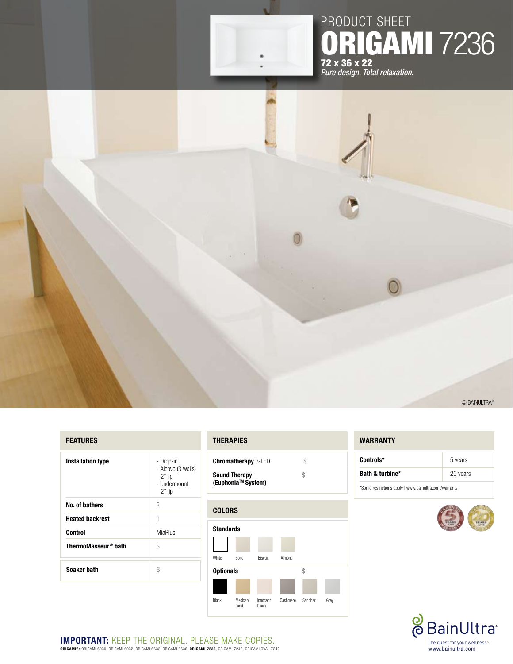

## product sheet **RIGAMI 7236** 72 x 36 x 22 *Pure design. Total relaxation.*

### **FEATURES**

| <b>Installation type</b>        | - Drop-in<br>- Alcove (3 walls)<br>$2"$ lip<br>- Undermount<br>$2"$ lip |  |
|---------------------------------|-------------------------------------------------------------------------|--|
| No. of bathers                  | 2                                                                       |  |
| <b>Heated backrest</b>          | 1                                                                       |  |
| Control                         | MiaPlus                                                                 |  |
| ThermoMasseur <sup>®</sup> bath | \$                                                                      |  |
| Soaker bath                     | \$                                                                      |  |

#### **thErapies**

| <b>Chromatherapy 3-LED</b>                             |   |
|--------------------------------------------------------|---|
| <b>Sound Therapy</b><br>(Euphonia <sup>™</sup> System) | Ж |



#### **WARRANTY**

| Controls*       | 5 years  |
|-----------------|----------|
| Bath & turbine* | 20 years |

\*Some restrictions apply | www.bainultra.com/warranty



© BainUltra®



**Important:** Keep the original. PLEASE MAKE copies. **ORIGAMI® :** ORIGAMI 6030, ORIGAMI 6032, ORIGAMI 6632, ORIGAMI 6636, **ORIGAMI 7236**, ORIGAMI 7242, ORIGAMI OVAL 7242